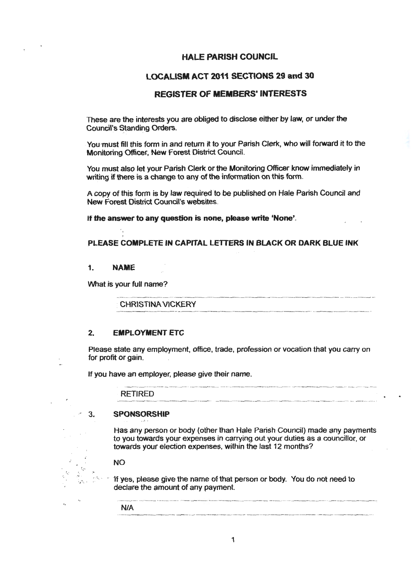#### **HALE PARISH COUNCIL**

## **LOCALISM ACT 2011 SECTIONS 29 and 30**

# **REGISTER** OF **MEMBERS' INTERESTS**

These are the interests you are obliged to disclose either by law, or under the Council's Standing Orders.

You must fill this form in and return it to your Parish Clerk, who will forward it to the Monitoring Officer, New Forest District Council.

You mustalso let your Parish Clerk or the Monitoring Officer know immediately in writing if there is a change to any of the information on this form.

A copy of this form is by law required to be published on Hale Parish Council and New Forest District Council's websites.

**If the answer to any question** is· **none, please write 'None'.** 

#### **PLEASE COMPLETE IN CAPITAL LETTERS IN BLACK OR DARK BLUE INK**

#### 1. **NAME**

What is your full name?

**CHRISTINA VICKERY** 

### **2. EMPLOYMENT** ETC

Please state any employment, office, trade, profession or vocation that you carry on for profit or gain.

If you have an employer, please give their name.

|         |                                                                                                                                                                                                                                                                                                                                                                                                                                                             | All A.C. MALAMAN CONTRACT COMMUNICATIONS |  |
|---------|-------------------------------------------------------------------------------------------------------------------------------------------------------------------------------------------------------------------------------------------------------------------------------------------------------------------------------------------------------------------------------------------------------------------------------------------------------------|------------------------------------------|--|
| RETIRED |                                                                                                                                                                                                                                                                                                                                                                                                                                                             |                                          |  |
|         | $\label{eq:convergence} \text{where} \quad \mathbf{v} \in \mathbb{R}^{n} \text{ and } \mathbf{v} \in \mathbb{R}^{n} \text{ and } \mathbf{v} \in \mathbb{R}^{n} \text{ and } \mathbf{v} \in \mathbb{R}^{n} \text{ and } \mathbf{v} \in \mathbb{R}^{n} \text{ and } \mathbf{v} \in \mathbb{R}^{n} \text{ and } \mathbf{v} \in \mathbb{R}^{n} \text{ and } \mathbf{v} \in \mathbb{R}^{n} \text{ and } \mathbf{v} \in \mathbb{R}^{n} \text{ and } \mathbf{v} \$ |                                          |  |

#### 3. **SPONSORSHIP**

Has any person or body (other than Hale Parish Council) made any payments to you towards your expenses in carrying out your duties as a councillor, or towards your election expenses, within the last 12 months?

**NO** 

 $\frac{1}{\sigma}$ ,  $\frac{1}{\sigma}$ 

If yes, please give the name of that person or body. You do not need to declare the amount of any payment.

i **NIA**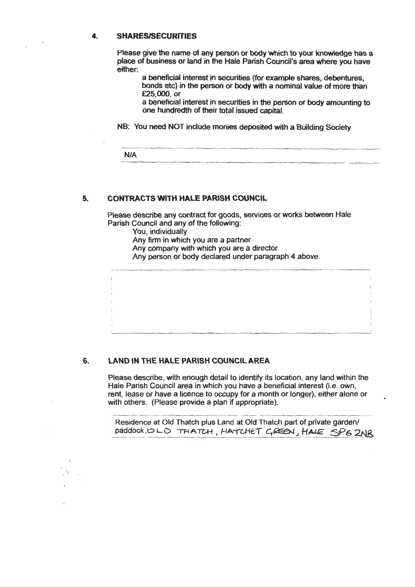#### **4- SHARES/SECURITIES**

Please give the name of any person or body which to your knowledge has a place of business or land in the Hale Parish Council's area where you have either:

a beneficial interest in securities (for example shares, debentures, bonds etc) in the person or body with a nominal value of more than £25,000. or

a beneficial interest in securities in the person or body amounting to one hundredth of their total issued capital.

NB: You need NOT include monies deposited with a Building Society

| N/A |  |
|-----|--|
|     |  |
|     |  |

#### **5. CONTRACTS WITH HALE PARISH COUNCIL**

Please describe any contract for goods, services or works between Hale Parish Council and any of the following:

You, individually

Any firm in which you are a partner

Any company with which you are a director

Any person or body declared under paragraph 4 above.

#### **6. LAND IN THE HALE PARISH COUNCIL AREA**

' ..

Please describe, with enough detail to identify its location, any land within the Hale Parish Council area in which you have a beneficial interest (i.e. own, rent, lease or have a licence to occupy for a month or longer}, either alone or with others. (Please provide a plan if appropriate).

Residence at Old Thatch plus Land at Old Thatch part of private garden/ paddock OLD THATCH, HATCHET GREEN, HALE SP62NR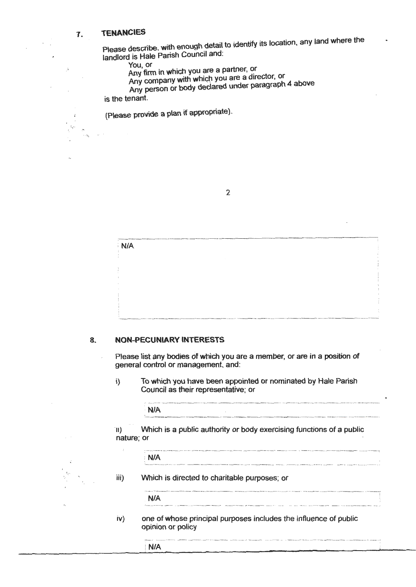# 7. **TENANCIES**

Please describe, with enough detail to identify its location, any land where the landlord is Hale Parish Council and:

You, or

Any firm in which you are a partner, or

Any company with which you are a director, or

Any person or body declared under paragraph 4 above is the tenant.

(Please provide a plan if appropriate).

| A 50 S for a fully state for a sumption to an application of the experimental services and experimental services are provided as a property of the service of the entropy of the service of the service of the service of the<br>٠. |  |
|-------------------------------------------------------------------------------------------------------------------------------------------------------------------------------------------------------------------------------------|--|
|                                                                                                                                                                                                                                     |  |
| <b>N/A</b>                                                                                                                                                                                                                          |  |
|                                                                                                                                                                                                                                     |  |
|                                                                                                                                                                                                                                     |  |
|                                                                                                                                                                                                                                     |  |
|                                                                                                                                                                                                                                     |  |
|                                                                                                                                                                                                                                     |  |
|                                                                                                                                                                                                                                     |  |
|                                                                                                                                                                                                                                     |  |
|                                                                                                                                                                                                                                     |  |
| $\sim$                                                                                                                                                                                                                              |  |
|                                                                                                                                                                                                                                     |  |
|                                                                                                                                                                                                                                     |  |
|                                                                                                                                                                                                                                     |  |
|                                                                                                                                                                                                                                     |  |
|                                                                                                                                                                                                                                     |  |
|                                                                                                                                                                                                                                     |  |
|                                                                                                                                                                                                                                     |  |
|                                                                                                                                                                                                                                     |  |

#### **8. NON-PECUNIARY INTERESTS**

Please list any bodies of which you are a member, or are in a position of general control or management, and:

i) To which you have been appointed or nominated by Hale Parish Council as their representative; or

| <b>ALC: YES</b><br>TO) | Which is a public authority or body exercising functions of a public<br>nature; or |  |
|------------------------|------------------------------------------------------------------------------------|--|
|                        | N/A                                                                                |  |
| $\{  \}$               | Which is directed to charitable purposes; or                                       |  |
|                        |                                                                                    |  |

- iv) one of whose principal purposes includes the influence of public opinion or policy
	- N/A

<sup>2</sup>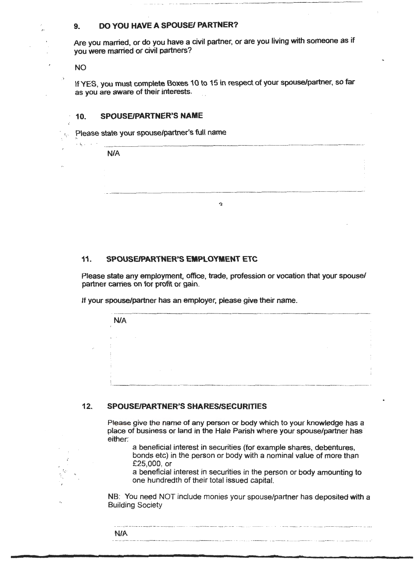# **9. DO YOU HAVE A SPOUSE/ PARTNER?**

Are you married, or do you have a civil partner, or are you living with someone as if you were married or civil partners?

NO

 $-2.1$ 

 $\overline{\phantom{a}}$ 

If YES, you must complete Boxes 10 to 15 in respect of your spouse/partner, so far as you are aware of their interests.

#### **10. SPOUSE/PARTNER'S NAME**

I N/A

Please state your spouse/partner's full name

| <b>N/A</b> |
|------------|
|            |
|            |
|            |
|            |
|            |
| າ          |

#### **11. SPOUSE/PARTNER'S EMPLOYMENT ETC**

Please state any employment, office, trade, profession or vocation that your spouse/ partner carries on for profit or gain.

If your spouse/partner has an employer, please give their name.

#### **12. SPOUSE/PARTNER'S SHARES/SECURITIES**

Please give the name of any person or body which to your knowledge has a place of business or land in the Hale Parish where your spouse/partner has either:

a beneficial interest in securities (for example shares, debentures, bonds etc) in the person or body with a nominal value of more than £25,000, or

a beneficial interest in securities in the person or body ampunting to one hundredth of their total issued capital.

NB: You need NOT include monies your spouse/partner has deposited **with** a Building Society

|                                                                                                                                        | and confident                                                                                                                                                                                                                  |
|----------------------------------------------------------------------------------------------------------------------------------------|--------------------------------------------------------------------------------------------------------------------------------------------------------------------------------------------------------------------------------|
| N/A                                                                                                                                    |                                                                                                                                                                                                                                |
| Constitution of the content of color in the constitution of the color of the color of the color of the color of the color of the color | conservation of the company of the company of the contract of the company of the contract of the contract of the contract of the contract of the contract of the contract of the contract of the contract of the contract of t |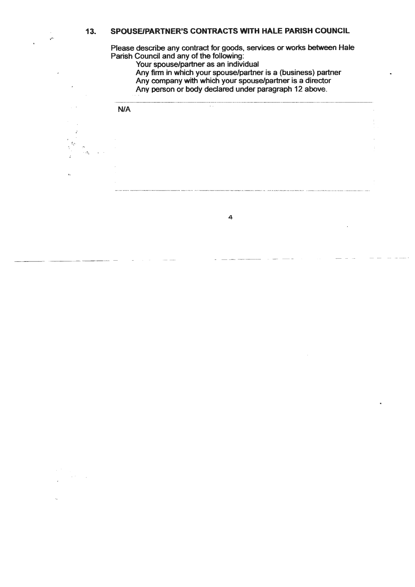### **13. SPOUSE/PARTNER'S CONTRACTS WITH HALE PARISH COUNCIL**

Please describe any contract for goods, services or works between Hale Parish Council and any of the following:

Your spouse/partner as an individual

ليعي

 $\overline{\phantom{a}}$ 

Any finn in which your spouse/partner is a (business) partner

Any company with which your spouse/partner is a director

Any person or body declared under paragraph 12 above.



4